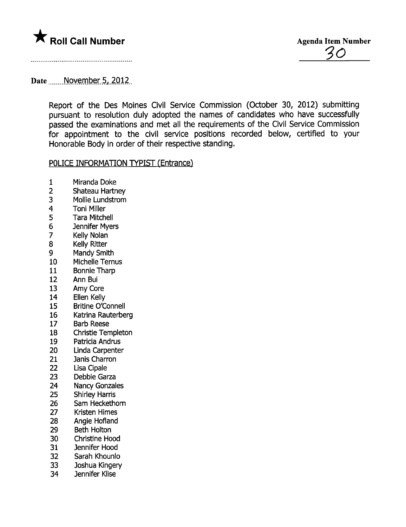

## Date November 5, 2012

Report of the Des Moines Civil Service Commission (October 30, 2012) submitting pursuant to resolution duly adopted the names of candidates who have successfully passed the examinations and met all the requirements of the Civil Service Commission for appointment to the civil service positions recorded below, certified to your Honorable Body in order of their respective standing.

## POLICE INFORMATION TYPIST (Entrance)

- 1 Miranda Doke<br>2 Shateau Hartn
- 
- 2 Shateau Hartney<br>3 Mollie Lundstrom 3 Mollie Lundstrom<br>4 Toni Miller
- 
- 4 Toni Miller<br>5 Tara Mitch 5 Tara Mitchell<br>6 Jennifer Mver
- 6 Jennifer Myers<br>7 Kelly Nolan
- 7 Kelly Nolan<br>8 Kelly Ritter
- 8 Kelly Ritter<br>9 Mandy Smi
- 9 Mandy Smith<br>10 Michelle Tern
- Michelle Ternus
- 11 Bonnie Tharp
- 12 Ann Bui<br>13 Amy Cor
- 13 Amy Core<br>14 Ellen Kelly
- 14 Ellen Kelly<br>15 Britine O'C
- Britine O'Connell
- 16 Katrina Rauterberg
- 17 Barb Reese
- 18 Christie Templeton
- 19 Patricia Andrus<br>20 Linda Carpente
- Linda Carpenter
- 21 Janis Charron<br>22 Lisa Cipale
- 
- 22 Lisa Cipale<br>23 Debbie Gar Debbie Garza
- 24 Nancy Gonzales
- 25 Shirley Harris
- 26 Sam Heckethorn
- 27 Kristen Himes
- 28 Angie Hofland
- 29 Beth Holton
- 
- 30 Christine Hood<br>31 Jennifer Hood
- 31 Jennifer Hood<br>32 Sarah Khounlo Sarah Khounlo
- 33 Joshua Kingery
- 34 Jennifer Klise